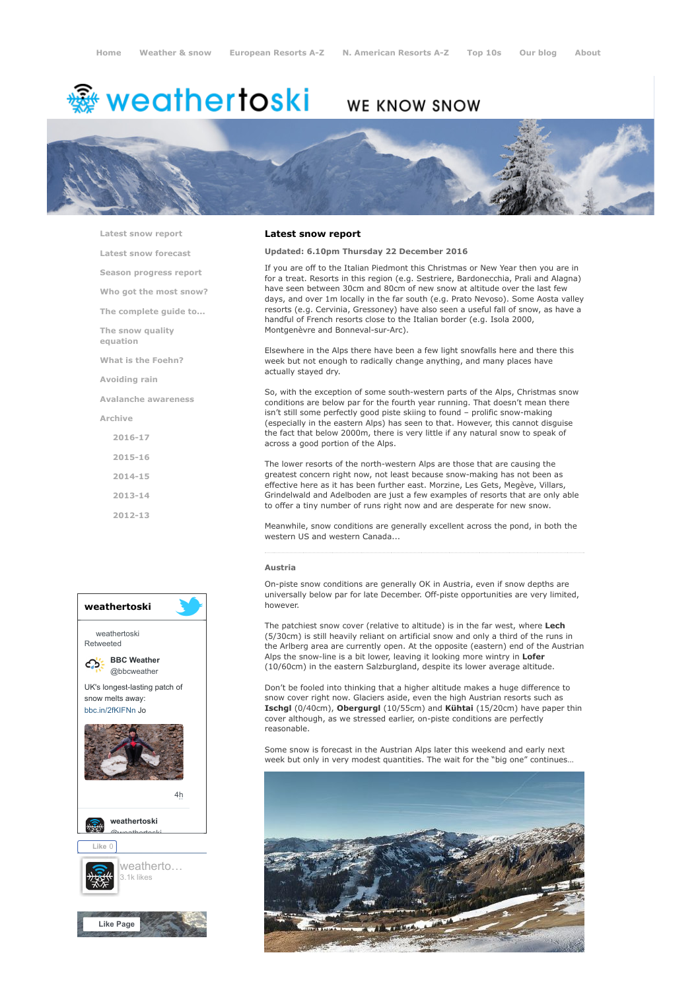# <del>鑾</del> weathertoski

# WE KNOW SNOW



[Latest snow report](https://www.weathertoski.co.uk/weather-snow/latest-snow-report/) [Latest snow forecast](https://www.weathertoski.co.uk/weather-snow/latest-snow-forecast/)

[Season progress report](https://www.weathertoski.co.uk/weather-snow/season-progress-report/) [Who got the most snow?](https://www.weathertoski.co.uk/weather-snow/who-got-the-most-snow/) [The complete guide to...](https://www.weathertoski.co.uk/weather-snow/the-complete-guide-to/) [The snow quality](https://www.weathertoski.co.uk/weather-snow/the-snow-quality-equation/)

[What is the Foehn?](https://www.weathertoski.co.uk/weather-snow/what-is-the-foehn/)

[Avoiding rain](https://www.weathertoski.co.uk/weather-snow/avoiding-rain/)

[Avalanche awareness](https://www.weathertoski.co.uk/weather-snow/avalanche-awareness/)

[Archive](https://www.weathertoski.co.uk/weather-snow/archive/)

equation

[2016-17](https://www.weathertoski.co.uk/weather-snow/archive/2016-17/) [2015-16](https://www.weathertoski.co.uk/weather-snow/archive/2015-16/) [2014-15](https://www.weathertoski.co.uk/weather-snow/archive/2014-15/) [2013-14](https://www.weathertoski.co.uk/weather-snow/archive/2013-14/)

[2012-13](https://www.weathertoski.co.uk/weather-snow/archive/2012-13/)



# Latest snow report

# Updated: 6.10pm Thursday 22 December 2016

If you are off to the Italian Piedmont this Christmas or New Year then you are in for a treat. Resorts in this region (e.g. Sestriere, Bardonecchia, Prali and Alagna) have seen between 30cm and 80cm of new snow at altitude over the last few days, and over 1m locally in the far south (e.g. Prato Nevoso). Some Aosta valley resorts (e.g. Cervinia, Gressoney) have also seen a useful fall of snow, as have a handful of French resorts close to the Italian border (e.g. Isola 2000, Montgenèvre and Bonneval-sur-Arc).

Elsewhere in the Alps there have been a few light snowfalls here and there this week but not enough to radically change anything, and many places have actually stayed dry.

So, with the exception of some south-western parts of the Alps, Christmas snow conditions are below par for the fourth year running. That doesn't mean there isn't still some perfectly good piste skiing to found – prolific snow-making (especially in the eastern Alps) has seen to that. However, this cannot disguise the fact that below 2000m, there is very little if any natural snow to speak of across a good portion of the Alps.

The lower resorts of the north-western Alps are those that are causing the greatest concern right now, not least because snow-making has not been as effective here as it has been further east. Morzine, Les Gets, Megève, Villars, Grindelwald and Adelboden are just a few examples of resorts that are only able to offer a tiny number of runs right now and are desperate for new snow.

Meanwhile, snow conditions are generally excellent across the pond, in both the western US and western Canada...

#### Austria

On-piste snow conditions are generally OK in Austria, even if snow depths are universally below par for late December. Off-piste opportunities are very limited, however.

The patchiest snow cover (relative to altitude) is in the far west, where Lech (5/30cm) is still heavily reliant on artificial snow and only a third of the runs in the Arlberg area are currently open. At the opposite (eastern) end of the Austrian Alps the snow-line is a bit lower, leaving it looking more wintry in Lofer (10/60cm) in the eastern Salzburgland, despite its lower average altitude.

Don't be fooled into thinking that a higher altitude makes a huge difference to snow cover right now. Glaciers aside, even the high Austrian resorts such as Ischgl (0/40cm), Obergurgl (10/55cm) and Kühtai (15/20cm) have paper thin cover although, as we stressed earlier, on-piste conditions are perfectly reasonable.

Some snow is forecast in the Austrian Alps later this weekend and early next week but only in very modest quantities. The wait for the "big one" continues…

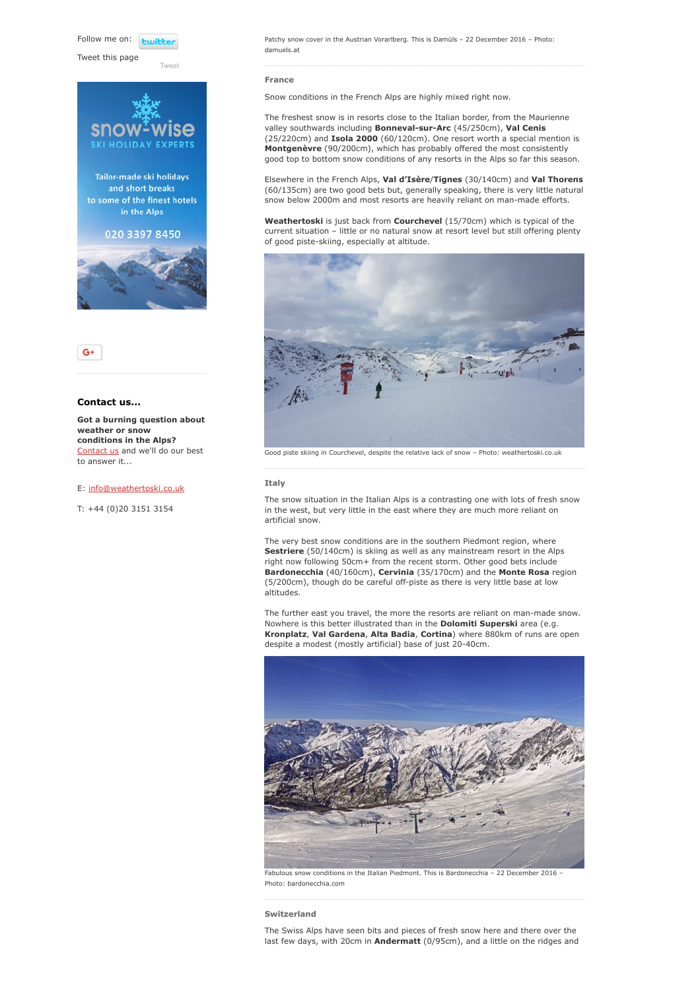Follow me on: **Fujible** 

Tweet this page

[Tweet](https://twitter.com/intent/tweet?original_referer=https%3A%2F%2Fwww.weathertoski.co.uk%2Fweather-snow%2Farchive%2Fsnow-report-22-12-2016%2F&ref_src=twsrc%5Etfw&text=Weather%20to%20ski%20-%20Snow%20report%20-%2022%20December%202016&tw_p=tweetbutton&url=https%3A%2F%2Fwww.weathertoski.co.uk%2Fweather-snow%2Farchive%2Fsnow-report-22-12-2016%2F)







# Contact us...

Got a burning question about weather or snow conditions in the Alps? [Contact us](https://www.weathertoski.co.uk/about-1/contact-us/) and we'll do our best to answer it...

# E: [info@weathertoski.co.uk](mailto:fraser@weathertoski.co.uk)

T: +44 (0)20 3151 3154

Patchy snow cover in the Austrian Vorarlberg. This is Damüls – 22 December 2016 – Photo: damuels.at

#### France

Snow conditions in the French Alps are highly mixed right now.

The freshest snow is in resorts close to the Italian border, from the Maurienne valley southwards including Bonneval-sur-Arc (45/250cm), Val Cenis (25/220cm) and Isola 2000 (60/120cm). One resort worth a special mention is Montgenèvre (90/200cm), which has probably offered the most consistently good top to bottom snow conditions of any resorts in the Alps so far this season.

Elsewhere in the French Alps, Val d'Isère/Tignes (30/140cm) and Val Thorens (60/135cm) are two good bets but, generally speaking, there is very little natural snow below 2000m and most resorts are heavily reliant on man-made efforts.

Weathertoski is just back from Courchevel (15/70cm) which is typical of the current situation – little or no natural snow at resort level but still offering plenty of good piste-skiing, especially at altitude.



Good piste skiing in Courchevel, despite the relative lack of snow – Photo: weathertoski.co.uk

#### Italy

The snow situation in the Italian Alps is a contrasting one with lots of fresh snow in the west, but very little in the east where they are much more reliant on artificial snow.

The very best snow conditions are in the southern Piedmont region, where Sestriere (50/140cm) is skiing as well as any mainstream resort in the Alps right now following 50cm+ from the recent storm. Other good bets include Bardonecchia (40/160cm), Cervinia (35/170cm) and the Monte Rosa region (5/200cm), though do be careful off-piste as there is very little base at low altitudes.

The further east you travel, the more the resorts are reliant on man-made snow. Nowhere is this better illustrated than in the Dolomiti Superski area (e.g. Kronplatz, Val Gardena, Alta Badia, Cortina) where 880km of runs are open despite a modest (mostly artificial) base of just 20-40cm.



Photo: bardonecchia.com

#### Switzerland

The Swiss Alps have seen bits and pieces of fresh snow here and there over the last few days, with 20cm in Andermatt (0/95cm), and a little on the ridges and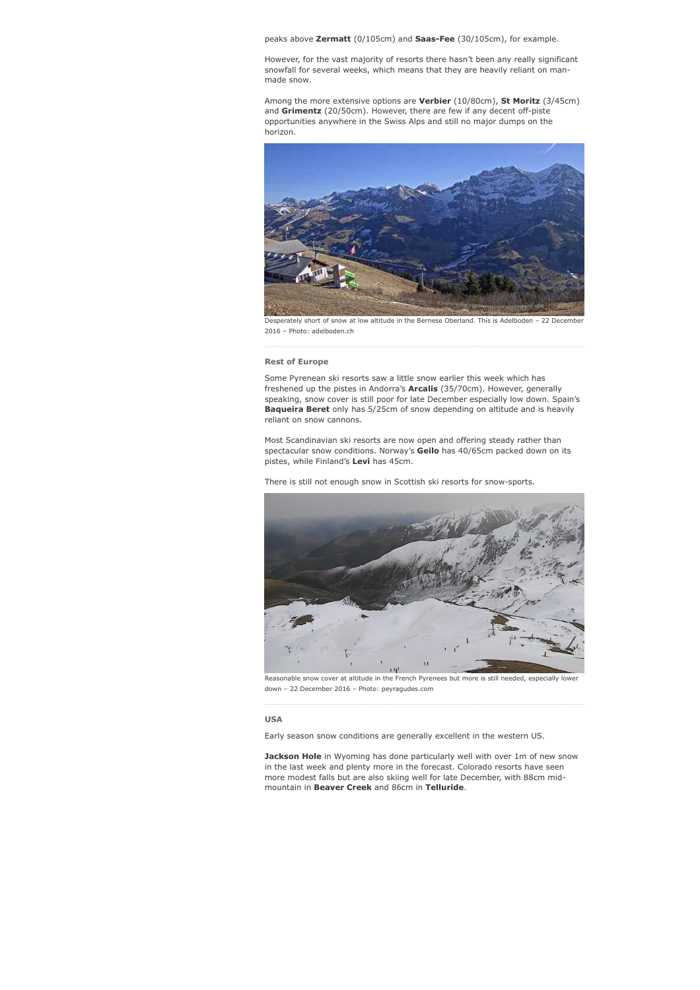peaks above Zermatt (0/105cm) and Saas-Fee (30/105cm), for example.

However, for the vast majority of resorts there hasn't been any really significant snowfall for several weeks, which means that they are heavily reliant on manmade snow.

Among the more extensive options are Verbier (10/80cm), St Moritz (3/45cm) and Grimentz (20/50cm). However, there are few if any decent off-piste opportunities anywhere in the Swiss Alps and still no major dumps on the horizon.



Desperately short of snow at low altitude in the Bernese Oberland. This is Adelboden - 22 Decembe 2016 – Photo: adelboden.ch

#### Rest of Europe

Some Pyrenean ski resorts saw a little snow earlier this week which has freshened up the pistes in Andorra's **Arcalis** (35/70cm). However, generally speaking, snow cover is still poor for late December especially low down. Spain's Baqueira Beret only has 5/25cm of snow depending on altitude and is heavily reliant on snow cannons.

Most Scandinavian ski resorts are now open and offering steady rather than spectacular snow conditions. Norway's Geilo has 40/65cm packed down on its pistes, while Finland's Levi has 45cm.

There is still not enough snow in Scottish ski resorts for snow-sports.



Reasonable snow cover at altitude in the French Pyrenees but more is still needed, especially lower down – 22 December 2016 – Photo: peyragudes.com

### USA

Early season snow conditions are generally excellent in the western US.

**Jackson Hole** in Wyoming has done particularly well with over 1m of new snow in the last week and plenty more in the forecast. Colorado resorts have seen more modest falls but are also skiing well for late December, with 88cm midmountain in Beaver Creek and 86cm in Telluride.